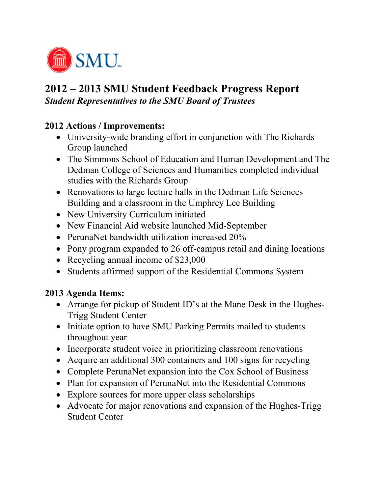

## **2012 – 2013 SMU Student Feedback Progress Report**  *Student Representatives to the SMU Board of Trustees*

## **2012 Actions / Improvements:**

- University-wide branding effort in conjunction with The Richards Group launched
- The Simmons School of Education and Human Development and The Dedman College of Sciences and Humanities completed individual studies with the Richards Group
- Renovations to large lecture halls in the Dedman Life Sciences Building and a classroom in the Umphrey Lee Building
- New University Curriculum initiated
- New Financial Aid website launched Mid-September
- PerunaNet bandwidth utilization increased 20%
- Pony program expanded to 26 off-campus retail and dining locations
- Recycling annual income of \$23,000
- Students affirmed support of the Residential Commons System

## **2013 Agenda Items:**

- Arrange for pickup of Student ID's at the Mane Desk in the Hughes-Trigg Student Center
- Initiate option to have SMU Parking Permits mailed to students throughout year
- Incorporate student voice in prioritizing classroom renovations
- Acquire an additional 300 containers and 100 signs for recycling
- Complete PerunaNet expansion into the Cox School of Business
- Plan for expansion of PerunaNet into the Residential Commons
- Explore sources for more upper class scholarships
- Advocate for major renovations and expansion of the Hughes-Trigg Student Center